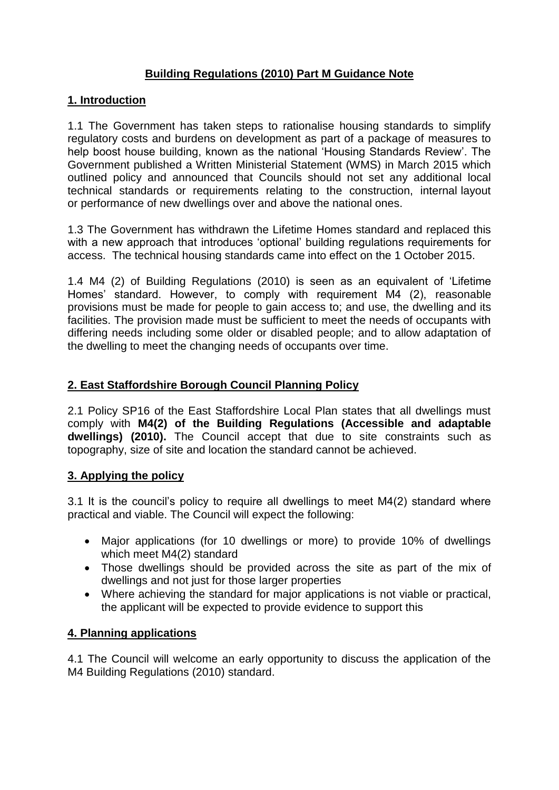# **Building Regulations (2010) Part M Guidance Note**

### **1. Introduction**

1.1 The Government has taken steps to rationalise housing standards to simplify regulatory costs and burdens on development as part of a package of measures to help boost house building, known as the national 'Housing Standards Review'. The Government published a Written Ministerial Statement (WMS) in March 2015 which outlined policy and announced that Councils should not set any additional local technical standards or requirements relating to the construction, internal layout or performance of new dwellings over and above the national ones.

1.3 The Government has withdrawn the Lifetime Homes standard and replaced this with a new approach that introduces 'optional' building regulations requirements for access. The technical housing standards came into effect on the 1 October 2015.

1.4 M4 (2) of Building Regulations (2010) is seen as an equivalent of 'Lifetime Homes' standard. However, to comply with requirement M4 (2), reasonable provisions must be made for people to gain access to; and use, the dwelling and its facilities. The provision made must be sufficient to meet the needs of occupants with differing needs including some older or disabled people; and to allow adaptation of the dwelling to meet the changing needs of occupants over time.

### **2. East Staffordshire Borough Council Planning Policy**

2.1 Policy SP16 of the East Staffordshire Local Plan states that all dwellings must comply with **M4(2) of the Building Regulations (Accessible and adaptable dwellings) (2010).** The Council accept that due to site constraints such as topography, size of site and location the standard cannot be achieved.

#### **3. Applying the policy**

3.1 It is the council's policy to require all dwellings to meet M4(2) standard where practical and viable. The Council will expect the following:

- Major applications (for 10 dwellings or more) to provide 10% of dwellings which meet M4(2) standard
- Those dwellings should be provided across the site as part of the mix of dwellings and not just for those larger properties
- Where achieving the standard for major applications is not viable or practical, the applicant will be expected to provide evidence to support this

#### **4. Planning applications**

4.1 The Council will welcome an early opportunity to discuss the application of the M4 Building Regulations (2010) standard.